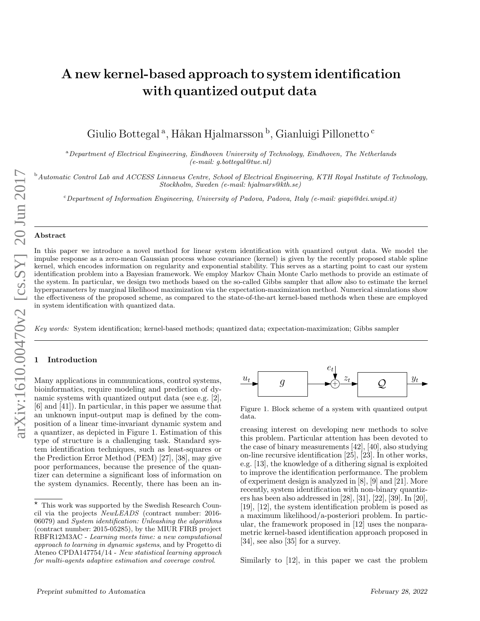# A new kernel-based approach to system identification with quantized output data

Giulio Bottegal <sup>a</sup>, Håkan Hjalmarsson <sup>b</sup>, Gianluigi Pillonetto <sup>c</sup>

<sup>a</sup>Department of Electrical Engineering, Eindhoven University of Technology, Eindhoven, The Netherlands (e-mail: g.bottegal@tue.nl)

<sup>b</sup> Automatic Control Lab and ACCESS Linnaeus Centre, School of Electrical Engineering, KTH Royal Institute of Technology, Stockholm, Sweden (e-mail: hjalmars@kth.se)

 $c$ Department of Information Engineering, University of Padova, Padova, Italy (e-mail: giapi@dei.unipd.it)

#### Abstract

In this paper we introduce a novel method for linear system identification with quantized output data. We model the impulse response as a zero-mean Gaussian process whose covariance (kernel) is given by the recently proposed stable spline kernel, which encodes information on regularity and exponential stability. This serves as a starting point to cast our system identification problem into a Bayesian framework. We employ Markov Chain Monte Carlo methods to provide an estimate of the system. In particular, we design two methods based on the so-called Gibbs sampler that allow also to estimate the kernel hyperparameters by marginal likelihood maximization via the expectation-maximization method. Numerical simulations show the effectiveness of the proposed scheme, as compared to the state-of-the-art kernel-based methods when these are employed in system identification with quantized data.

Key words: System identification; kernel-based methods; quantized data; expectation-maximization; Gibbs sampler

## **Introduction**

Many applications in communications, control systems, bioinformatics, require modeling and prediction of dynamic systems with quantized output data (see e.g. [2], [6] and [41]). In particular, in this paper we assume that an unknown input-output map is defined by the composition of a linear time-invariant dynamic system and a quantizer, as depicted in Figure 1. Estimation of this type of structure is a challenging task. Standard system identification techniques, such as least-squares or the Prediction Error Method (PEM) [27], [38], may give poor performances, because the presence of the quantizer can determine a significant loss of information on the system dynamics. Recently, there has been an in-



Figure 1. Block scheme of a system with quantized output data.

creasing interest on developing new methods to solve this problem. Particular attention has been devoted to the case of binary measurements [42], [40], also studying on-line recursive identification [25], [23]. In other works, e.g. [13], the knowledge of a dithering signal is exploited to improve the identification performance. The problem of experiment design is analyzed in [8], [9] and [21]. More recently, system identification with non-binary quantizers has been also addressed in [28], [31], [22], [39]. In [20], [19], [12], the system identification problem is posed as a maximum likelihood/a-posteriori problem. In particular, the framework proposed in [12] uses the nonparametric kernel-based identification approach proposed in [34], see also [35] for a survey.

Similarly to [12], in this paper we cast the problem

 $*$  This work was supported by the Swedish Research Council via the projects NewLEADS (contract number: 2016- 06079) and System identification: Unleashing the algorithms (contract number: 2015-05285), by the MIUR FIRB project RBFR12M3AC - Learning meets time: a new computational approach to learning in dynamic systems, and by Progetto di Ateneo CPDA147754/14 - New statistical learning approach for multi-agents adaptive estimation and coverage control.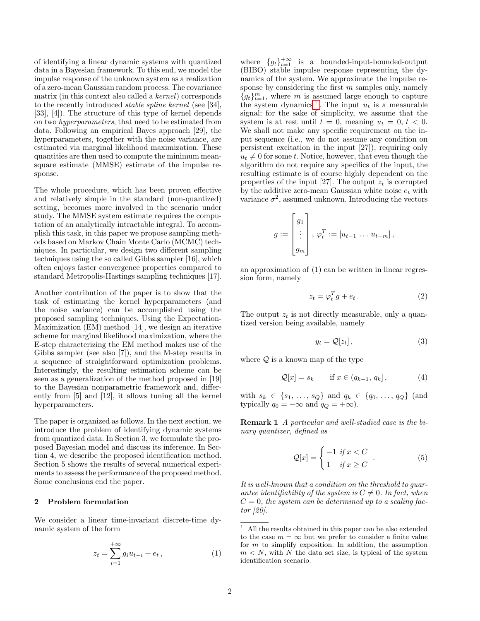of identifying a linear dynamic systems with quantized data in a Bayesian framework. To this end, we model the impulse response of the unknown system as a realization of a zero-mean Gaussian random process. The covariance matrix (in this context also called a kernel) corresponds to the recently introduced stable spline kernel (see [34], [33], [4]). The structure of this type of kernel depends on two hyperparameters, that need to be estimated from data. Following an empirical Bayes approach [29], the hyperparameters, together with the noise variance, are estimated via marginal likelihood maximization. These quantities are then used to compute the minimum meansquare estimate (MMSE) estimate of the impulse response.

The whole procedure, which has been proven effective and relatively simple in the standard (non-quantized) setting, becomes more involved in the scenario under study. The MMSE system estimate requires the computation of an analytically intractable integral. To accomplish this task, in this paper we propose sampling methods based on Markov Chain Monte Carlo (MCMC) techniques. In particular, we design two different sampling techniques using the so called Gibbs sampler [16], which often enjoys faster convergence properties compared to standard Metropolis-Hastings sampling techniques [17].

Another contribution of the paper is to show that the task of estimating the kernel hyperparameters (and the noise variance) can be accomplished using the proposed sampling techniques. Using the Expectation-Maximization (EM) method [14], we design an iterative scheme for marginal likelihood maximization, where the E-step characterizing the EM method makes use of the Gibbs sampler (see also [7]), and the M-step results in a sequence of straightforward optimization problems. Interestingly, the resulting estimation scheme can be seen as a generalization of the method proposed in [19] to the Bayesian nonparametric framework and, differently from [5] and [12], it allows tuning all the kernel hyperparameters.

The paper is organized as follows. In the next section, we introduce the problem of identifying dynamic systems from quantized data. In Section 3, we formulate the proposed Bayesian model and discuss its inference. In Section 4, we describe the proposed identification method. Section 5 shows the results of several numerical experiments to assess the performance of the proposed method. Some conclusions end the paper.

## 2 Problem formulation

We consider a linear time-invariant discrete-time dynamic system of the form

$$
z_t = \sum_{i=1}^{+\infty} g_i u_{t-i} + e_t , \qquad (1)
$$

where  ${g_t}_{t=1}^{+\infty}$  is a bounded-input-bounded-output (BIBO) stable impulse response representing the dynamics of the system. We approximate the impulse response by considering the first  $m$  samples only, namely  ${g_t}_{t=1}^m$ , where m is assumed large enough to capture the system dynamics<sup>[1](#page-1-0)</sup>. The input  $u_t$  is a measurable signal; for the sake of simplicity, we assume that the system is at rest until  $t = 0$ , meaning  $u_t = 0$ ,  $t < 0$ . We shall not make any specific requirement on the input sequence (i.e., we do not assume any condition on persistent excitation in the input [27]), requiring only  $u_t \neq 0$  for some t. Notice, however, that even though the algorithm do not require any specifics of the input, the resulting estimate is of course highly dependent on the properties of the input [27]. The output  $z_t$  is corrupted by the additive zero-mean Gaussian white noise  $e_t$  with variance  $\sigma^2$ , assumed unknown. Introducing the vectors

$$
g := \begin{bmatrix} g_1 \\ \vdots \\ g_m \end{bmatrix}, \varphi_t^T := [u_{t-1} \dots u_{t-m}],
$$

an approximation of (1) can be written in linear regression form, namely

$$
z_t = \varphi_t^T g + e_t \,. \tag{2}
$$

The output  $z_t$  is not directly measurable, only a quantized version being available, namely

$$
y_t = \mathcal{Q}[z_t],\tag{3}
$$

where  $Q$  is a known map of the type

$$
\mathcal{Q}[x] = s_k \quad \text{if } x \in (q_{k-1}, q_k], \tag{4}
$$

with  $s_k \in \{s_1, \ldots, s_Q\}$  and  $q_k \in \{q_0, \ldots, q_Q\}$  (and typically  $q_0 = -\infty$  and  $q_Q = +\infty$ ).

Remark 1 A particular and well-studied case is the binary quantizer, defined as

$$
\mathcal{Q}[x] = \begin{cases}\n-1 & \text{if } x < C \\
1 & \text{if } x \ge C\n\end{cases} . \tag{5}
$$

It is well-known that a condition on the threshold to guarantee identifiability of the system is  $C \neq 0$ . In fact, when  $C = 0$ , the system can be determined up to a scaling factor [20].

<span id="page-1-0"></span> $^{\rm 1}~$  All the results obtained in this paper can be also extended to the case  $m = \infty$  but we prefer to consider a finite value for  $m$  to simplify exposition. In addition, the assumption  $m < N$ , with N the data set size, is typical of the system identification scenario.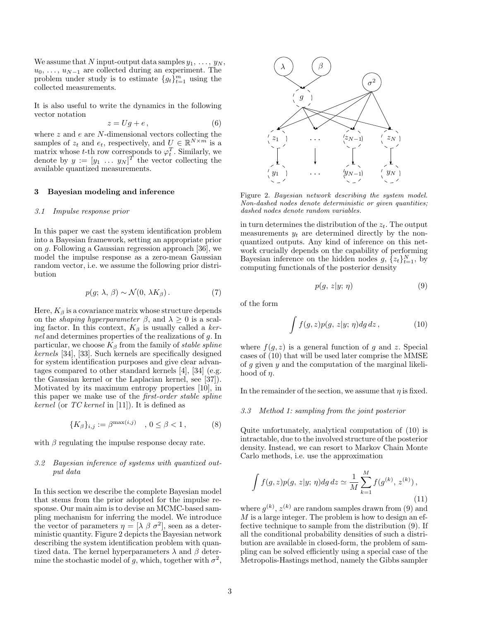We assume that N input-output data samples  $y_1, \ldots, y_N$ ,  $u_0, \ldots, u_{N-1}$  are collected during an experiment. The problem under study is to estimate  $\{g_t\}_{t=1}^m$  using the collected measurements.

It is also useful to write the dynamics in the following vector notation

$$
z = Ug + e,\t\t(6)
$$

where  $z$  and  $e$  are  $N$ -dimensional vectors collecting the samples of  $z_t$  and  $e_t$ , respectively, and  $U \in \mathbb{R}^{N \times m}$  is a matrix whose t-th row corresponds to  $\varphi_t^T$ . Similarly, we denote by  $y := [y_1 \dots y_N]^T$  the vector collecting the available quantized measurements.

#### 3 Bayesian modeling and inference

## 3.1 Impulse response prior

In this paper we cast the system identification problem into a Bayesian framework, setting an appropriate prior on g. Following a Gaussian regression approach [36], we model the impulse response as a zero-mean Gaussian random vector, i.e. we assume the following prior distribution

$$
p(g; \lambda, \beta) \sim \mathcal{N}(0, \lambda K_{\beta}). \tag{7}
$$

Here,  $K_{\beta}$  is a covariance matrix whose structure depends on the *shaping hyperparameter*  $\beta$ , and  $\lambda \geq 0$  is a scaling factor. In this context,  $K_\beta$  is usually called a kernel and determines properties of the realizations of g. In particular, we choose  $K_{\beta}$  from the family of stable spline kernels [34], [33]. Such kernels are specifically designed for system identification purposes and give clear advantages compared to other standard kernels [4], [34] (e.g. the Gaussian kernel or the Laplacian kernel, see [37]). Motivated by its maximum entropy properties [10], in this paper we make use of the first-order stable spline kernel (or  $TC$  kernel in [11]). It is defined as

$$
\{K_{\beta}\}_{i,j} := \beta^{\max(i,j)} \quad , \, 0 \le \beta < 1 \,, \tag{8}
$$

with  $\beta$  regulating the impulse response decay rate.

## 3.2 Bayesian inference of systems with quantized output data

In this section we describe the complete Bayesian model that stems from the prior adopted for the impulse response. Our main aim is to devise an MCMC-based sampling mechanism for inferring the model. We introduce the vector of parameters  $\eta = [\lambda \beta \sigma^2]$ , seen as a deterministic quantity. Figure 2 depicts the Bayesian network describing the system identification problem with quantized data. The kernel hyperparameters  $\lambda$  and  $\beta$  determine the stochastic model of g, which, together with  $\sigma^2$ ,



Figure 2. Bayesian network describing the system model. Non-dashed nodes denote deterministic or given quantities; dashed nodes denote random variables.

in turn determines the distribution of the  $z_t$ . The output measurements  $y_t$  are determined directly by the nonquantized outputs. Any kind of inference on this network crucially depends on the capability of performing Bayesian inference on the hidden nodes  $g, \{z_t\}_{t=1}^N$ , by computing functionals of the posterior density

$$
p(g, z|y; \eta) \tag{9}
$$

of the form

$$
\int f(g,z)p(g,z|y;\,\eta)dg\,dz\,,\tag{10}
$$

where  $f(g, z)$  is a general function of g and z. Special cases of (10) that will be used later comprise the MMSE of  $g$  given  $y$  and the computation of the marginal likelihood of  $\eta$ .

In the remainder of the section, we assume that  $\eta$  is fixed.

#### 3.3 Method 1: sampling from the joint posterior

Quite unfortunately, analytical computation of (10) is intractable, due to the involved structure of the posterior density. Instead, we can resort to Markov Chain Monte Carlo methods, i.e. use the approximation

$$
\int f(g, z)p(g, z|y; \eta) dg dz \simeq \frac{1}{M} \sum_{k=1}^{M} f(g^{(k)}, z^{(k)}),
$$
\n(11)

where  $g^{(k)}$ ,  $z^{(k)}$  are random samples drawn from (9) and M is a large integer. The problem is how to design an effective technique to sample from the distribution (9). If all the conditional probability densities of such a distribution are available in closed-form, the problem of sampling can be solved efficiently using a special case of the Metropolis-Hastings method, namely the Gibbs sampler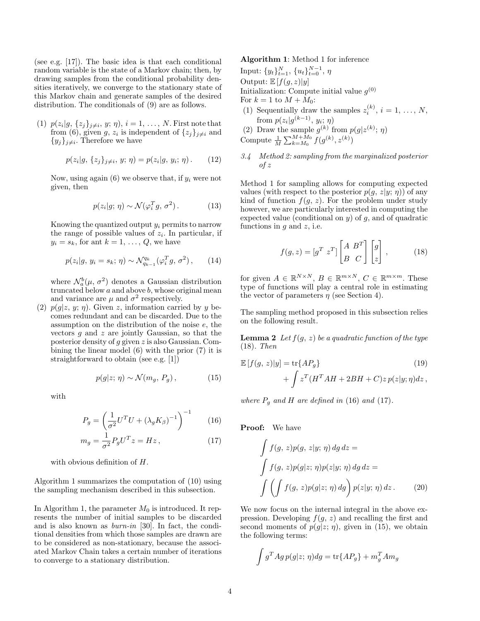(see e.g. [17]). The basic idea is that each conditional random variable is the state of a Markov chain; then, by drawing samples from the conditional probability densities iteratively, we converge to the stationary state of this Markov chain and generate samples of the desired distribution. The conditionals of (9) are as follows.

(1)  $p(z_i|g, \{z_j\}_{j\neq i}, y; \eta), i = 1, ..., N$ . First note that from (6), given g,  $z_i$  is independent of  $\{z_j\}_{j\neq i}$  and  $\{y_j\}_{j\neq i}$ . Therefore we have

$$
p(z_i|g, \{z_j\}_{j\neq i}, y; \eta) = p(z_i|g, y_i; \eta). \qquad (12)
$$

Now, using again  $(6)$  we observe that, if  $y_i$  were not given, then

$$
p(z_i|g; \eta) \sim \mathcal{N}(\varphi_i^T g, \sigma^2). \tag{13}
$$

Knowing the quantized output  $y_i$  permits to narrow the range of possible values of  $z_i$ . In particular, if  $y_i = s_k$ , for ant  $k = 1, \ldots, Q$ , we have

$$
p(z_i|g, y_i = s_k; \eta) \sim \mathcal{N}_{q_{k-1}}^{q_k}(\varphi_i^T g, \sigma^2), \qquad (14)
$$

where  $\mathcal{N}_a^b(\mu, \sigma^2)$  denotes a Gaussian distribution truncated below  $a$  and above  $b$ , whose original mean and variance are  $\mu$  and  $\sigma^2$  respectively.

(2)  $p(q|z, y; \eta)$ . Given z, information carried by y becomes redundant and can be discarded. Due to the assumption on the distribution of the noise e, the vectors  $q$  and  $z$  are jointly Gaussian, so that the posterior density of g given z is also Gaussian. Combining the linear model (6) with the prior (7) it is straightforward to obtain (see e.g. [1])

$$
p(g|z; \eta) \sim \mathcal{N}(m_g, P_g), \tag{15}
$$

with

$$
P_g = \left(\frac{1}{\sigma^2}U^T U + \left(\lambda_g K_\beta\right)^{-1}\right)^{-1} \tag{16}
$$

$$
m_g = \frac{1}{\sigma^2} P_g U^T z = Hz \,, \tag{17}
$$

with obvious definition of  $H$ .

Algorithm 1 summarizes the computation of (10) using the sampling mechanism described in this subsection.

In Algorithm 1, the parameter  $M_0$  is introduced. It represents the number of initial samples to be discarded and is also known as burn-in [30]. In fact, the conditional densities from which those samples are drawn are to be considered as non-stationary, because the associated Markov Chain takes a certain number of iterations to converge to a stationary distribution.

## Algorithm 1: Method 1 for inference

Input:  $\{y_t\}_{t=1}^N$ ,  $\{u_t\}_{t=0}^{N-1}$ ,  $\eta$ Output:  $\mathbb{E}[f(g,z)|y]$ Initialization: Compute initial value  $g^{(0)}$ For  $k = 1$  to  $M + M_0$ :

(1) Sequentially draw the samples  $z_i^{(k)}$ ,  $i = 1, \ldots, N$ ,  $i$  from  $p(z_i|g^{(k-1)}, y_i; \eta)$ 

(2) Draw the sample  $g^{(k)}$  from  $p(g|z^{(k)}; \eta)$ Compute  $\frac{1}{M} \sum_{k=M_0}^{M+M_0} f(g^{(k)}, z^{(k)})$ 

3.4 Method 2: sampling from the marginalized posterior of z

Method 1 for sampling allows for computing expected values (with respect to the posterior  $p(g, z|y; \eta)$ ) of any kind of function  $f(g, z)$ . For the problem under study however, we are particularly interested in computing the expected value (conditional on  $y$ ) of  $g$ , and of quadratic functions in  $g$  and  $z$ , i.e.

$$
f(g, z) = [g^T z^T] \begin{bmatrix} A & B^T \\ B & C \end{bmatrix} \begin{bmatrix} g \\ z \end{bmatrix},
$$
 (18)

for given  $A \in \mathbb{R}^{N \times N}$ ,  $B \in \mathbb{R}^{m \times N}$ ,  $C \in \mathbb{R}^{m \times m}$ . These type of functions will play a central role in estimating the vector of parameters  $\eta$  (see Section 4).

The sampling method proposed in this subsection relies on the following result.

**Lemma 2** Let  $f(g, z)$  be a quadratic function of the type (18). Then

$$
\mathbb{E}\left[f(g,z)|y\right] = \text{tr}\{AP_g\} \tag{19}
$$
\n
$$
+ \int z^T (H^T A H + 2BH + C) z \, p(z|y;\eta) dz \,,
$$

where  $P_q$  and H are defined in (16) and (17).

Proof: We have

$$
\int f(g, z)p(g, z|y; \eta) dg dz =
$$
\n
$$
\int f(g, z)p(g|z; \eta)p(z|y; \eta) dg dz =
$$
\n
$$
\int \left( \int f(g, z)p(g|z; \eta) dg \right) p(z|y; \eta) dz. \tag{20}
$$

We now focus on the internal integral in the above expression. Developing  $f(q, z)$  and recalling the first and second moments of  $p(g|z; \eta)$ , given in (15), we obtain the following terms:

$$
\int g^T A g \, p(g|z; \eta) dg = \text{tr}\{A P_g\} + m_g^T A m_g
$$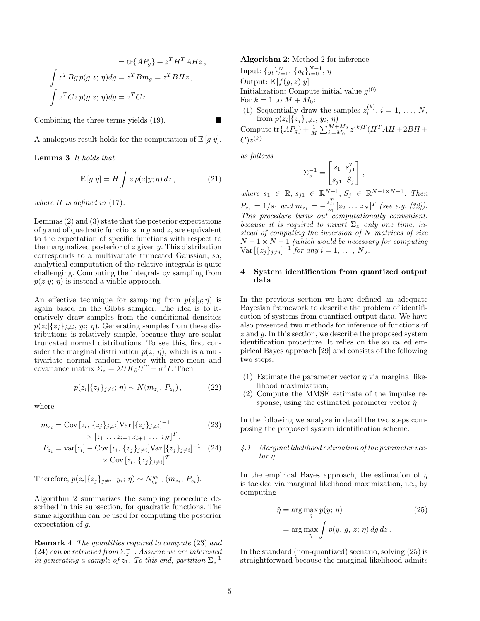$$
= \text{tr}\{AP_g\} + z^T H^T A H z,
$$
  

$$
\int z^T Bg p(g|z; \eta) dg = z^T B m_g = z^T B H z,
$$
  

$$
\int z^T C z p(g|z; \eta) dg = z^T C z.
$$

Combining the three terms yields (19).

A analogous result holds for the computation of  $\mathbb{E}[g|y]$ .

Lemma 3 It holds that

$$
\mathbb{E}\left[g|y\right] = H \int z \, p(z|y;\eta) \, dz \,, \tag{21}
$$

where  $H$  is defined in  $(17)$ .

Lemmas (2) and (3) state that the posterior expectations of q and of quadratic functions in  $q$  and  $z$ , are equivalent to the expectation of specific functions with respect to the marginalized posterior of  $z$  given  $y$ . This distribution corresponds to a multivariate truncated Gaussian; so, analytical computation of the relative integrals is quite challenging. Computing the integrals by sampling from  $p(z|y; \eta)$  is instead a viable approach.

An effective technique for sampling from  $p(z|y; \eta)$  is again based on the Gibbs sampler. The idea is to iteratively draw samples from the conditional densities  $p(z_i | \{z_j\}_{j \neq i}, y_i; \eta)$ . Generating samples from these distributions is relatively simple, because they are scalar truncated normal distributions. To see this, first consider the marginal distribution  $p(z; \eta)$ , which is a multivariate normal random vector with zero-mean and covariance matrix  $\Sigma_z = \lambda U K_{\beta} U^T + \sigma^2 I$ . Then

$$
p(z_i | \{z_j\}_{j \neq i}; \eta) \sim N(m_{z_i}, P_{z_i}), \qquad (22)
$$

where

$$
m_{z_i} = \text{Cov}\left[z_i, \{z_j\}_{j \neq i}\right] \text{Var}\left[\{z_j\}_{j \neq i}\right]^{-1} \tag{23}
$$

$$
\times [z_1 \dots z_{i-1} z_{i+1} \dots z_N]^T,
$$
  
\n
$$
P_{z_i} = \text{var}[z_i] - \text{Cov}[z_i, \{z_j\}_{j \neq i}] \text{Var}[\{z_j\}_{j \neq i}]^{-1}
$$
 (24)  
\n
$$
\times \text{Cov}[z_i, \{z_j\}_{j \neq i}]^T.
$$

Therefore,  $p(z_i | \{z_j\}_{j \neq i}, y_i; \eta) \sim N_{q_{k-1}}^{q_k}(m_{z_i}, P_{z_i}).$ 

Algorithm 2 summarizes the sampling procedure described in this subsection, for quadratic functions. The same algorithm can be used for computing the posterior expectation of g.

Remark 4 The quantities required to compute (23) and (24) can be retrieved from  $\Sigma_z^{-1}$ . Assume we are interested in generating a sample of  $z_1$ . To this end, partition  $\Sigma_z^{-1}$ 

## Algorithm 2: Method 2 for inference

Input:  $\{y_t\}_{t=1}^N$ ,  $\{u_t\}_{t=0}^{N-1}$ ,  $\eta$ Output:  $\mathbb{E}[f(g,z)|y]$ Initialization: Compute initial value  $g^{(0)}$ For  $k = 1$  to  $M + M_0$ : (1) Sequentially draw the samples  $z_i^{(k)}$ ,  $i = 1, ..., N$ , from  $p(z_i | \{z_j\}_{j\neq i}, y_i; \eta)$ Compute  $\text{tr}\{AP_g\} + \frac{1}{M}\sum_{k=M_0}^{M+M_0} z^{(k)T} (H^T A H + 2BH +$  $C)z^{(k)}$ 

as follows

$$
\Sigma_z^{-1} = \begin{bmatrix} s_1 & s_{j1}^T \\ s_{j1} & S_j \end{bmatrix},
$$

where  $s_1 \in \mathbb{R}, s_{j1} \in \mathbb{R}^{N-1}, S_j \in \mathbb{R}^{N-1 \times N-1}$ . Then  $P_{z_1} = 1/s_1$  and  $m_{z_1} = -\frac{s_{j_1}^T}{s_1} [z_2 \dots z_N]^T$  (see e.g. [32]). This procedure turns out computationally convenient, because it is required to invert  $\Sigma_z$  only one time, instead of computing the inversion of N matrices of size  $N-1 \times N-1$  (which would be necessary for computing  $Var\left[\{z_j\}_{j\neq i}\right]^{-1}$  for any  $i = 1, ..., N$ ).

# 4 System identification from quantized output data

In the previous section we have defined an adequate Bayesian framework to describe the problem of identification of systems from quantized output data. We have also presented two methods for inference of functions of  $z$  and  $q$ . In this section, we describe the proposed system identification procedure. It relies on the so called empirical Bayes approach [29] and consists of the following two steps:

- (1) Estimate the parameter vector  $\eta$  via marginal likelihood maximization;
- (2) Compute the MMSE estimate of the impulse response, using the estimated parameter vector  $\hat{\eta}$ .

In the following we analyze in detail the two steps composing the proposed system identification scheme.

# 4.1 Marginal likelihood estimation of the parameter vector η

In the empirical Bayes approach, the estimation of  $\eta$ is tackled via marginal likelihood maximization, i.e., by computing

$$
\hat{\eta} = \arg \max_{\eta} p(y; \eta)
$$
\n
$$
= \arg \max_{\eta} \int p(y, g, z; \eta) \, dg \, dz. \tag{25}
$$

In the standard (non-quantized) scenario, solving (25) is straightforward because the marginal likelihood admits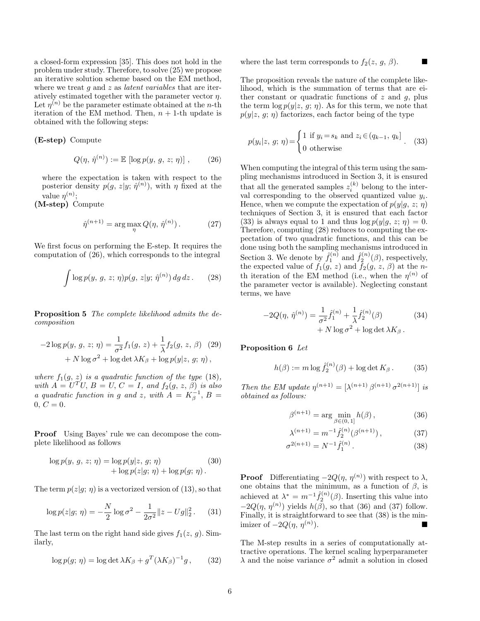a closed-form expression [35]. This does not hold in the problem under study. Therefore, to solve (25) we propose an iterative solution scheme based on the EM method, where we treat q and z as *latent variables* that are iteratively estimated together with the parameter vector  $\eta.$ Let  $\eta^{(n)}$  be the parameter estimate obtained at the *n*-th iteration of the EM method. Then,  $n + 1$ -th update is obtained with the following steps:

## (E-step) Compute

$$
Q(\eta, \hat{\eta}^{(n)}) := \mathbb{E} [\log p(y, g, z; \eta)] , \qquad (26)
$$

where the expectation is taken with respect to the posterior density  $p(g, z|y; \hat{\eta}^{(n)})$ , with  $\eta$  fixed at the value  $\eta^{(n)}$ ;

(M-step) Compute

$$
\hat{\eta}^{(n+1)} = \arg\max_{\eta} Q(\eta, \hat{\eta}^{(n)}).
$$
 (27)

We first focus on performing the E-step. It requires the computation of (26), which corresponds to the integral

$$
\int \log p(y, g, z; \eta) p(g, z|y; \hat{\eta}^{(n)}) \, dg \, dz. \tag{28}
$$

Proposition 5 The complete likelihood admits the decomposition

$$
-2\log p(y, g, z; \eta) = \frac{1}{\sigma^2} f_1(g, z) + \frac{1}{\lambda} f_2(g, z, \beta)
$$
 (29)  
+  $N \log \sigma^2$  + log det  $\lambda K_\beta$  + log  $p(y|z, g; \eta)$ ,

where  $f_1(g, z)$  is a quadratic function of the type (18), with  $A = U^T U$ ,  $B = U$ ,  $C = I$ , and  $f_2(g, z, \beta)$  is also a quadratic function in g and z, with  $A = K_\beta^{-1}$ ,  $B =$  $0, C = 0.$ 

Proof Using Bayes' rule we can decompose the complete likelihood as follows

$$
\log p(y, g, z; \eta) = \log p(y|z, g; \eta)
$$
  
+ 
$$
\log p(z|g; \eta) + \log p(g; \eta).
$$
 (30)

The term  $p(z|g; \eta)$  is a vectorized version of (13), so that

$$
\log p(z|g; \eta) = -\frac{N}{2} \log \sigma^2 - \frac{1}{2\sigma^2} ||z - Ug||_2^2. \tag{31}
$$

The last term on the right hand side gives  $f_1(z, g)$ . Similarly,

$$
\log p(g; \eta) = \log \det \lambda K_{\beta} + g^T (\lambda K_{\beta})^{-1} g, \qquad (32)
$$

where the last term corresponds to  $f_2(z, g, \beta)$ .

The proposition reveals the nature of the complete likelihood, which is the summation of terms that are either constant or quadratic functions of  $z$  and  $q$ , plus the term  $\log p(y|z, g; \eta)$ . As for this term, we note that  $p(y|z, g; \eta)$  factorizes, each factor being of the type

$$
p(y_i|z, g; \eta) = \begin{cases} 1 \text{ if } y_i = s_k \text{ and } z_i \in (q_{k-1}, q_k] \\ 0 \text{ otherwise} \end{cases}
$$
 (33)

When computing the integral of this term using the sampling mechanisms introduced in Section 3, it is ensured that all the generated samples  $z_i^{(k)}$  belong to the interval corresponding to the observed quantized value  $y_i$ . Hence, when we compute the expectation of  $p(y|q, z; \eta)$ techniques of Section 3, it is ensured that each factor (33) is always equal to 1 and thus  $\log p(y|q, z; \eta) = 0$ . Therefore, computing (28) reduces to computing the expectation of two quadratic functions, and this can be done using both the sampling mechanisms introduced in Section 3. We denote by  $\hat{f}_1^{(n)}$  and  $\hat{f}_2^{(n)}(\beta)$ , respectively, the expected value of  $f_1(g, z)$  and  $f_2(g, z, \beta)$  at the nth iteration of the EM method (i.e., when the  $\eta^{(n)}$  of the parameter vector is available). Neglecting constant terms, we have

$$
-2Q(\eta, \hat{\eta}^{(n)}) = \frac{1}{\sigma^2} \hat{f}_1^{(n)} + \frac{1}{\lambda} \hat{f}_2^{(n)}(\beta) + N \log \sigma^2 + \log \det \lambda K_\beta.
$$
 (34)

# Proposition 6 Let

$$
h(\beta) := m \log \hat{f}_2^{(n)}(\beta) + \log \det K_{\beta}.
$$
 (35)

Then the EM update  $\eta^{(n+1)} = [\lambda^{(n+1)} \beta^{(n+1)} \sigma^{2(n+1)}]$  is obtained as follows:

$$
\beta^{(n+1)} = \arg\min_{\beta \in (0,1]} h(\beta), \qquad (36)
$$

$$
\lambda^{(n+1)} = m^{-1} \hat{f}_2^{(n)}(\beta^{(n+1)}), \tag{37}
$$

$$
\sigma^{2(n+1)} = N^{-1} \hat{f}_1^{(n)}.
$$
\n(38)

**Proof** Differentiating  $-2Q(\eta, \eta^{(n)})$  with respect to  $\lambda$ , one obtains that the minimum, as a function of  $\beta$ , is achieved at  $\lambda^* = m^{-1} \hat{f}_2^{(n)}(\beta)$ . Inserting this value into  $-2Q(\eta, \eta^{(n)})$  yields  $h(\beta)$ , so that (36) and (37) follow. Finally, it is straightforward to see that (38) is the minimizer of  $-2Q(\eta, \eta^{(n)})$ .  $\blacksquare$ 

The M-step results in a series of computationally attractive operations. The kernel scaling hyperparameter  $\lambda$  and the noise variance  $\sigma^2$  admit a solution in closed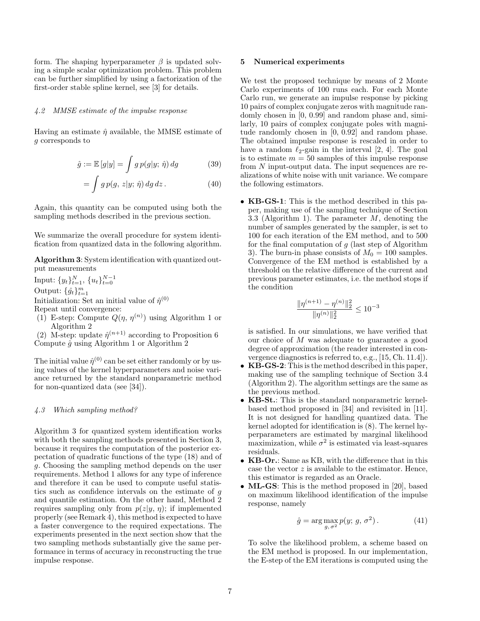form. The shaping hyperparameter  $\beta$  is updated solving a simple scalar optimization problem. This problem can be further simplified by using a factorization of the first-order stable spline kernel, see [3] for details.

## 4.2 MMSE estimate of the impulse response

Having an estimate  $\hat{\eta}$  available, the MMSE estimate of g corresponds to

$$
\hat{g} := \mathbb{E}\left[g|y\right] = \int g \, p(g|y; \, \hat{\eta}) \, dg \tag{39}
$$

$$
= \int g \, p(g, \, z | y; \, \hat{\eta}) \, dg \, dz \,. \tag{40}
$$

Again, this quantity can be computed using both the sampling methods described in the previous section.

We summarize the overall procedure for system identification from quantized data in the following algorithm.

Algorithm 3: System identification with quantized output measurements

Input:  $\{y_t\}_{t=1}^N$ ,  $\{u_t\}_{t=0}^{N-1}$ Output:  $\{\hat{g}_t\}_{t=1}^m$ Initialization: Set an initial value of  $\hat{\eta}^{(0)}$ Repeat until convergence:

(1) E-step: Compute  $Q(\eta, \eta^{(n)})$  using Algorithm 1 or Algorithm 2

(2) M-step: update  $\hat{\eta}^{(n+1)}$  according to Proposition 6 Compute  $\hat{g}$  using Algorithm 1 or Algorithm 2

The initial value  $\hat{\eta}^{(0)}$  can be set either randomly or by using values of the kernel hyperparameters and noise variance returned by the standard nonparametric method for non-quantized data (see [34]).

## 4.3 Which sampling method?

Algorithm 3 for quantized system identification works with both the sampling methods presented in Section 3, because it requires the computation of the posterior expectation of quadratic functions of the type (18) and of g. Choosing the sampling method depends on the user requirements. Method 1 allows for any type of inference and therefore it can be used to compute useful statistics such as confidence intervals on the estimate of g and quantile estimation. On the other hand, Method 2 requires sampling only from  $p(z|y, \eta)$ ; if implemented properly (see Remark 4), this method is expected to have a faster convergence to the required expectations. The experiments presented in the next section show that the two sampling methods substantially give the same performance in terms of accuracy in reconstructing the true impulse response.

#### 5 Numerical experiments

We test the proposed technique by means of 2 Monte Carlo experiments of 100 runs each. For each Monte Carlo run, we generate an impulse response by picking 10 pairs of complex conjugate zeros with magnitude randomly chosen in [0, 0.99] and random phase and, similarly, 10 pairs of complex conjugate poles with magnitude randomly chosen in [0, 0.92] and random phase. The obtained impulse response is rescaled in order to have a random  $\ell_2$ -gain in the interval [2, 4]. The goal is to estimate  $m = 50$  samples of this impulse response from N input-output data. The input sequences are realizations of white noise with unit variance. We compare the following estimators.

• KB-GS-1: This is the method described in this paper, making use of the sampling technique of Section 3.3 (Algorithm 1). The parameter M, denoting the number of samples generated by the sampler, is set to 100 for each iteration of the EM method, and to 500 for the final computation of  $q$  (last step of Algorithm 3). The burn-in phase consists of  $M_0 = 100$  samples. Convergence of the EM method is established by a threshold on the relative difference of the current and previous parameter estimates, i.e. the method stops if the condition

$$
\frac{\|\eta^{(n+1)} - \eta^{(n)}\|_2^2}{\|\eta^{(n)}\|_2^2} \le 10^{-3}
$$

is satisfied. In our simulations, we have verified that our choice of M was adequate to guarantee a good degree of approximation (the reader interested in convergence diagnostics is referred to, e.g., [15, Ch. 11.4]).

- KB-GS-2: This is the method described in this paper, making use of the sampling technique of Section 3.4 (Algorithm 2). The algorithm settings are the same as the previous method.
- KB-St.: This is the standard nonparametric kernelbased method proposed in [34] and revisited in [11]. It is not designed for handling quantized data. The kernel adopted for identification is (8). The kernel hyperparameters are estimated by marginal likelihood maximization, while  $\sigma^2$  is estimated via least-squares residuals.
- KB-Or.: Same as KB, with the difference that in this case the vector  $z$  is available to the estimator. Hence, this estimator is regarded as an Oracle.
- **ML-GS**: This is the method proposed in [20], based on maximum likelihood identification of the impulse response, namely

$$
\hat{g} = \arg\max_{g, \sigma^2} p(y; g, \sigma^2). \tag{41}
$$

To solve the likelihood problem, a scheme based on the EM method is proposed. In our implementation, the E-step of the EM iterations is computed using the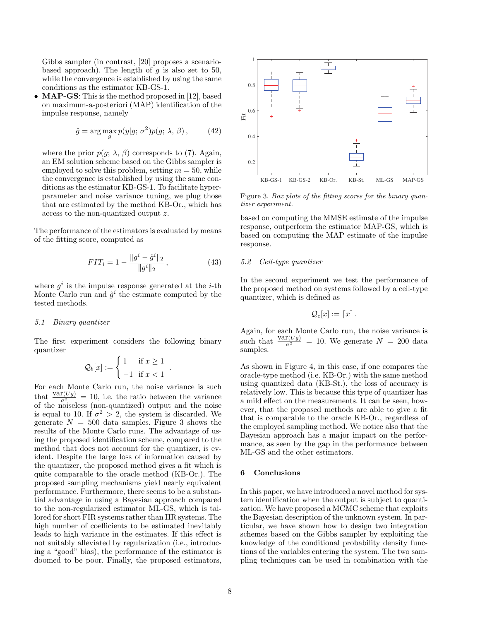Gibbs sampler (in contrast, [20] proposes a scenariobased approach). The length of q is also set to 50, while the convergence is established by using the same conditions as the estimator KB-GS-1.

• **MAP-GS**: This is the method proposed in [12], based on maximum-a-posteriori (MAP) identification of the impulse response, namely

$$
\hat{g} = \arg\max_{g} p(y|g; \sigma^2) p(g; \lambda, \beta), \quad (42)
$$

where the prior  $p(g; \lambda, \beta)$  corresponds to (7). Again, an EM solution scheme based on the Gibbs sampler is employed to solve this problem, setting  $m = 50$ , while the convergence is established by using the same conditions as the estimator KB-GS-1. To facilitate hyperparameter and noise variance tuning, we plug those that are estimated by the method KB-Or., which has access to the non-quantized output z.

The performance of the estimators is evaluated by means of the fitting score, computed as

$$
FIT_i = 1 - \frac{\|g^i - \hat{g}^i\|_2}{\|g^i\|_2}, \tag{43}
$$

where  $g^i$  is the impulse response generated at the *i*-th Monte Carlo run and  $\hat{g}^i$  the estimate computed by the tested methods.

## 5.1 Binary quantizer

The first experiment considers the following binary quantizer

$$
\mathcal{Q}_b[x] := \begin{cases} 1 & \text{if } x \ge 1 \\ -1 & \text{if } x < 1 \end{cases}.
$$

For each Monte Carlo run, the noise variance is such that  $\frac{\text{var}(Ug)}{\sigma^2} = 10$ , i.e. the ratio between the variance of the noiseless (non-quantized) output and the noise is equal to 10. If  $\sigma^2 > 2$ , the system is discarded. We generate  $N = 500$  data samples. Figure 3 shows the results of the Monte Carlo runs. The advantage of using the proposed identification scheme, compared to the method that does not account for the quantizer, is evident. Despite the large loss of information caused by the quantizer, the proposed method gives a fit which is quite comparable to the oracle method (KB-Or.). The proposed sampling mechanisms yield nearly equivalent performance. Furthermore, there seems to be a substantial advantage in using a Bayesian approach compared to the non-regularized estimator ML-GS, which is tailored for short FIR systems rather than IIR systems. The high number of coefficients to be estimated inevitably leads to high variance in the estimates. If this effect is not suitably alleviated by regularization (i.e., introducing a "good" bias), the performance of the estimator is doomed to be poor. Finally, the proposed estimators,



Figure 3. Box plots of the fitting scores for the binary quantizer experiment.

based on computing the MMSE estimate of the impulse response, outperform the estimator MAP-GS, which is based on computing the MAP estimate of the impulse response.

# 5.2 Ceil-type quantizer

In the second experiment we test the performance of the proposed method on systems followed by a ceil-type quantizer, which is defined as

$$
\mathcal{Q}_c[x]:=\lceil x\rceil.
$$

Again, for each Monte Carlo run, the noise variance is such that  $\frac{\text{var}(Ug)}{\sigma^2} = 10$ . We generate  $N = 200$  data samples.

As shown in Figure 4, in this case, if one compares the oracle-type method (i.e. KB-Or.) with the same method using quantized data (KB-St.), the loss of accuracy is relatively low. This is because this type of quantizer has a mild effect on the measurements. It can be seen, however, that the proposed methods are able to give a fit that is comparable to the oracle KB-Or., regardless of the employed sampling method. We notice also that the Bayesian approach has a major impact on the performance, as seen by the gap in the performance between ML-GS and the other estimators.

## 6 Conclusions

In this paper, we have introduced a novel method for system identification when the output is subject to quantization. We have proposed a MCMC scheme that exploits the Bayesian description of the unknown system. In particular, we have shown how to design two integration schemes based on the Gibbs sampler by exploiting the knowledge of the conditional probability density functions of the variables entering the system. The two sampling techniques can be used in combination with the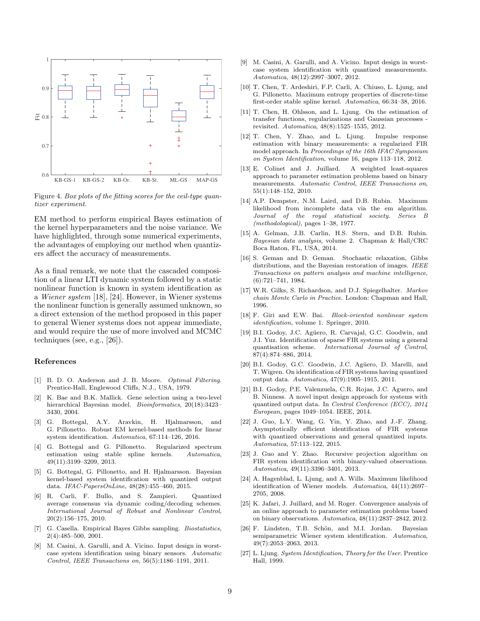

Figure 4. Box plots of the fitting scores for the ceil-type quantizer experiment.

EM method to perform empirical Bayes estimation of the kernel hyperparameters and the noise variance. We have highlighted, through some numerical experiments, the advantages of employing our method when quantizers affect the accuracy of measurements.

As a final remark, we note that the cascaded composition of a linear LTI dynamic system followed by a static nonlinear function is known in system identification as a Wiener system [18], [24]. However, in Wiener systems the nonlinear function is generally assumed unknown, so a direct extension of the method proposed in this paper to general Wiener systems does not appear immediate, and would require the use of more involved and MCMC techniques (see, e.g., [26]).

#### References

- [1] B. D. O. Anderson and J. B. Moore. *Optimal Filtering*. Prentice-Hall, Englewood Cliffs, N.J., USA, 1979.
- [2] K. Bae and B.K. Mallick. Gene selection using a two-level hierarchical Bayesian model. Bioinformatics, 20(18):3423– 3430, 2004.
- [3] G. Bottegal, A.Y. Aravkin, H. Hjalmarsson, and G. Pillonetto. Robust EM kernel-based methods for linear system identification. Automatica, 67:114–126, 2016.
- [4] G. Bottegal and G. Pillonetto. Regularized spectrum estimation using stable spline kernels. Automatica, 49(11):3199–3209, 2013.
- [5] G. Bottegal, G. Pillonetto, and H. Hjalmarsson. Bayesian kernel-based system identification with quantized output data. IFAC-PapersOnLine, 48(28):455–460, 2015.
- [6] R. Carli, F. Bullo, and S. Zampieri. Quantized average consensus via dynamic coding/decoding schemes. International Journal of Robust and Nonlinear Control, 20(2):156–175, 2010.
- [7] G. Casella. Empirical Bayes Gibbs sampling. Biostatistics, 2(4):485–500, 2001.
- [8] M. Casini, A. Garulli, and A. Vicino. Input design in worstcase system identification using binary sensors. Automatic Control, IEEE Transactions on, 56(5):1186–1191, 2011.
- [9] M. Casini, A. Garulli, and A. Vicino. Input design in worstcase system identification with quantized measurements. Automatica, 48(12):2997–3007, 2012.
- [10] T. Chen, T. Ardeshiri, F.P. Carli, A. Chiuso, L. Ljung, and G. Pillonetto. Maximum entropy properties of discrete-time first-order stable spline kernel. Automatica, 66:34–38, 2016.
- [11] T. Chen, H. Ohlsson, and L. Ljung. On the estimation of transfer functions, regularizations and Gaussian processes revisited. Automatica, 48(8):1525–1535, 2012.
- [12] T. Chen, Y. Zhao, and L. Ljung. Impulse response estimation with binary measurements: a regularized FIR model approach. In Proceedings of the 16th IFAC Symposium on System Identification, volume 16, pages 113–118, 2012.
- [13] E. Colinet and J. Juillard. A weighted least-squares approach to parameter estimation problems based on binary measurements. Automatic Control, IEEE Transactions on, 55(1):148–152, 2010.
- [14] A.P. Dempster, N.M. Laird, and D.B. Rubin. Maximum likelihood from incomplete data via the em algorithm. Journal of the royal statistical society. Series B (methodological), pages 1–38, 1977.
- [15] A. Gelman, J.B. Carlin, H.S. Stern, and D.B. Rubin. Bayesian data analysis, volume 2. Chapman & Hall/CRC Boca Raton, FL, USA, 2014.
- [16] S. Geman and D. Geman. Stochastic relaxation, Gibbs distributions, and the Bayesian restoration of images. *IEEE* Transactions on pattern analysis and machine intelligence, (6):721–741, 1984.
- [17] W.R. Gilks, S. Richardson, and D.J. Spiegelhalter. Markov chain Monte Carlo in Practice. London: Chapman and Hall, 1996.
- [18] F. Giri and E.W. Bai. Block-oriented nonlinear system identification, volume 1. Springer, 2010.
- [19] B.I. Godoy, J.C. Agüero, R. Carvajal, G.C. Goodwin, and J.I. Yuz. Identification of sparse FIR systems using a general quantisation scheme. International Journal of Control, 87(4):874–886, 2014.
- [20] B.I. Godoy, G.C. Goodwin, J.C. Agüero, D. Marelli, and T. Wigren. On identification of FIR systems having quantized output data. Automatica, 47(9):1905–1915, 2011.
- [21] B.I. Godoy, P.E. Valenzuela, C.R. Rojas, J.C. Aguero, and B. Ninness. A novel input design approach for systems with quantized output data. In Control Conference (ECC), 2014 European, pages 1049–1054. IEEE, 2014.
- [22] J. Guo, L.Y. Wang, G. Yin, Y. Zhao, and J.-F. Zhang. Asymptotically efficient identification of FIR systems with quantized observations and general quantized inputs. Automatica, 57:113–122, 2015.
- [23] J. Guo and Y. Zhao. Recursive projection algorithm on FIR system identification with binary-valued observations. Automatica, 49(11):3396–3401, 2013.
- [24] A. Hagenblad, L. Ljung, and A. Wills. Maximum likelihood identification of Wiener models. Automatica, 44(11):2697– 2705, 2008.
- [25] K. Jafari, J. Juillard, and M. Roger. Convergence analysis of an online approach to parameter estimation problems based on binary observations. Automatica, 48(11):2837–2842, 2012.
- [26] F. Lindsten, T.B. Schön, and M.I. Jordan. Bayesian semiparametric Wiener system identification. Automatica, 49(7):2053–2063, 2013.
- [27] L. Ljung. System Identification, Theory for the User. Prentice Hall, 1999.